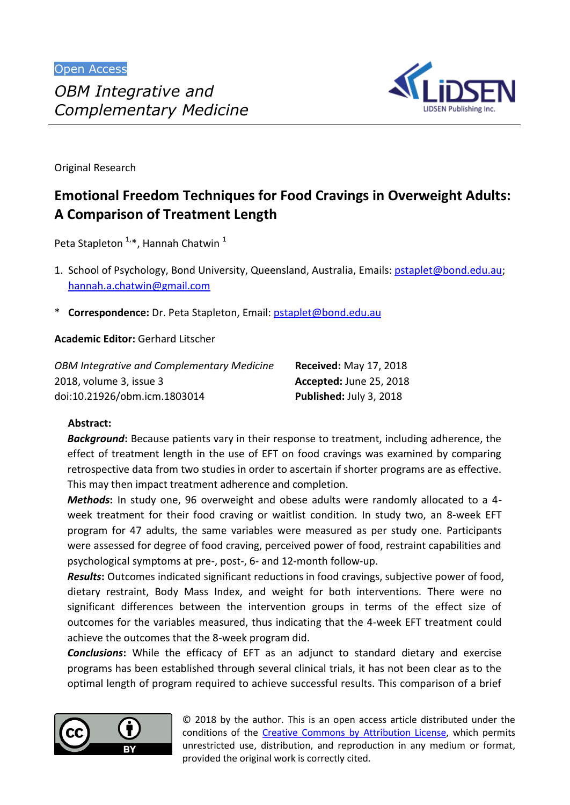

Original Research

# **Emotional Freedom Techniques for Food Cravings in Overweight Adults: A Comparison of Treatment Length**

Peta Stapleton <sup>1,</sup>\*, Hannah Chatwin <sup>1</sup>

- 1. School of Psychology, Bond University, Queensland, Australia, Emails: [pstaplet@bond.edu.au;](mailto:pstaplet@bond.edu.au) [hannah.a.chatwin@gmail.com](mailto:hannah.a.chatwin@gmail.com)
- \* **Correspondence:** Dr. Peta Stapleton, Email: [pstaplet@bond.edu.au](mailto:pstaplet@bond.edu.au)

**Academic Editor:** Gerhard Litscher

| <b>OBM Integrative and Complementary Medicine</b> | <b>Received: May 17, 2018</b>  |
|---------------------------------------------------|--------------------------------|
| 2018, volume 3, issue 3                           | <b>Accepted: June 25, 2018</b> |
| doi:10.21926/obm.icm.1803014                      | Published: July 3, 2018        |

# **Abstract:**

*Background***:** Because patients vary in their response to treatment, including adherence, the effect of treatment length in the use of EFT on food cravings was examined by comparing retrospective data from two studies in order to ascertain if shorter programs are as effective. This may then impact treatment adherence and completion.

*Methods***:** In study one, 96 overweight and obese adults were randomly allocated to a 4 week treatment for their food craving or waitlist condition. In study two, an 8-week EFT program for 47 adults, the same variables were measured as per study one. Participants were assessed for degree of food craving, perceived power of food, restraint capabilities and psychological symptoms at pre-, post-, 6- and 12-month follow-up.

*Results***:** Outcomes indicated significant reductions in food cravings, subjective power of food, dietary restraint, Body Mass Index, and weight for both interventions. There were no significant differences between the intervention groups in terms of the effect size of outcomes for the variables measured, thus indicating that the 4-week EFT treatment could achieve the outcomes that the 8-week program did.

*Conclusions***:** While the efficacy of EFT as an adjunct to standard dietary and exercise programs has been established through several clinical trials, it has not been clear as to the optimal length of program required to achieve successful results. This comparison of a brief



© 2018 by the author. This is an open access article distributed under the conditions of the Creative Commons by Attribution License, which permits unrestricted use, distribution, and reproduction in any medium or format, provided the original work is correctly cited.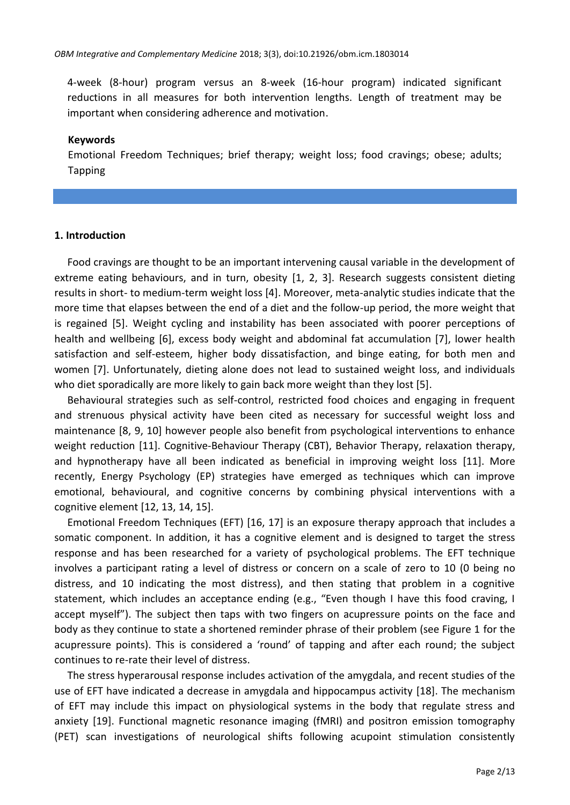4-week (8-hour) program versus an 8-week (16-hour program) indicated significant reductions in all measures for both intervention lengths. Length of treatment may be important when considering adherence and motivation.

#### **Keywords**

Emotional Freedom Techniques; brief therapy; weight loss; food cravings; obese; adults; Tapping

#### **1. Introduction**

Food cravings are thought to be an important intervening causal variable in the development of extreme eating behaviours, and in turn, obesity [1, 2, 3]. Research suggests consistent dieting results in short- to medium-term weight loss [4]. Moreover, meta-analytic studies indicate that the more time that elapses between the end of a diet and the follow-up period, the more weight that is regained [5]. Weight cycling and instability has been associated with poorer perceptions of health and wellbeing [6], excess body weight and abdominal fat accumulation [7], lower health satisfaction and self-esteem, higher body dissatisfaction, and binge eating, for both men and women [7]. Unfortunately, dieting alone does not lead to sustained weight loss, and individuals who diet sporadically are more likely to gain back more weight than they lost [5].

Behavioural strategies such as self-control, restricted food choices and engaging in frequent and strenuous physical activity have been cited as necessary for successful weight loss and maintenance [8, 9, 10] however people also benefit from psychological interventions to enhance weight reduction [11]. Cognitive-Behaviour Therapy (CBT), Behavior Therapy, relaxation therapy, and hypnotherapy have all been indicated as beneficial in improving weight loss [11]. More recently, Energy Psychology (EP) strategies have emerged as techniques which can improve emotional, behavioural, and cognitive concerns by combining physical interventions with a cognitive element [12, 13, 14, 15].

Emotional Freedom Techniques (EFT) [16, 17] is an exposure therapy approach that includes a somatic component. In addition, it has a cognitive element and is designed to target the stress response and has been researched for a variety of psychological problems. The EFT technique involves a participant rating a level of distress or concern on a scale of zero to 10 (0 being no distress, and 10 indicating the most distress), and then stating that problem in a cognitive statement, which includes an acceptance ending (e.g., "Even though I have this food craving, I accept myself"). The subject then taps with two fingers on acupressure points on the face and body as they continue to state a shortened reminder phrase of their problem (see Figure 1 for the acupressure points). This is considered a 'round' of tapping and after each round; the subject continues to re-rate their level of distress.

The stress hyperarousal response includes activation of the amygdala, and recent studies of the use of EFT have indicated a decrease in amygdala and hippocampus activity [18]. The mechanism of EFT may include this impact on physiological systems in the body that regulate stress and anxiety [19]. Functional magnetic resonance imaging (fMRI) and positron emission tomography (PET) scan investigations of neurological shifts following acupoint stimulation consistently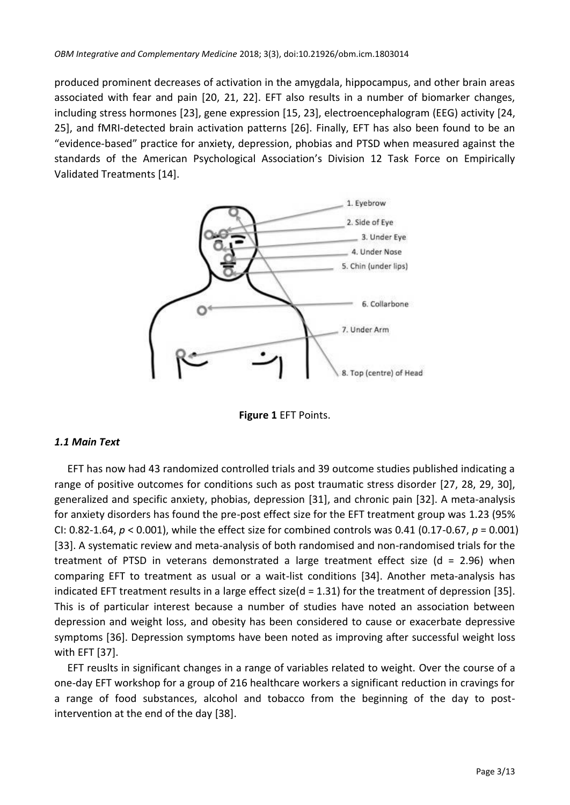produced prominent decreases of activation in the amygdala, hippocampus, and other brain areas associated with fear and pain [20, 21, 22]. EFT also results in a number of biomarker changes, including stress hormones [23], gene expression [15, 23], electroencephalogram (EEG) activity [24, 25], and fMRI-detected brain activation patterns [26]. Finally, EFT has also been found to be an "evidence-based" practice for anxiety, depression, phobias and PTSD when measured against the standards of the American Psychological Association's Division 12 Task Force on Empirically Validated Treatments [14].



**Figure 1** EFT Points.

# *1.1 Main Text*

EFT has now had 43 randomized controlled trials and 39 outcome studies published indicating a range of positive outcomes for conditions such as post traumatic stress disorder [27, 28, 29, 30], generalized and specific anxiety, phobias, depression [31], and chronic pain [32]. A meta-analysis for anxiety disorders has found the pre-post effect size for the EFT treatment group was 1.23 (95% CI: 0.82-1.64, *p* < 0.001), while the effect size for combined controls was 0.41 (0.17-0.67, *p* = 0.001) [33]. A systematic review and meta-analysis of both randomised and non-randomised trials for the treatment of PTSD in veterans demonstrated a large treatment effect size ( $d = 2.96$ ) when comparing EFT to treatment as usual or a wait-list conditions [34]. Another meta-analysis has indicated EFT treatment results in a large effect size( $d = 1.31$ ) for the treatment of depression [35]. This is of particular interest because a number of studies have noted an association between depression and weight loss, and obesity has been considered to cause or exacerbate depressive symptoms [36]. Depression symptoms have been noted as improving after successful weight loss with EFT [37].

EFT reuslts in significant changes in a range of variables related to weight. Over the course of a one-day EFT workshop for a group of 216 healthcare workers a significant reduction in cravings for a range of food substances, alcohol and tobacco from the beginning of the day to postintervention at the end of the day [38].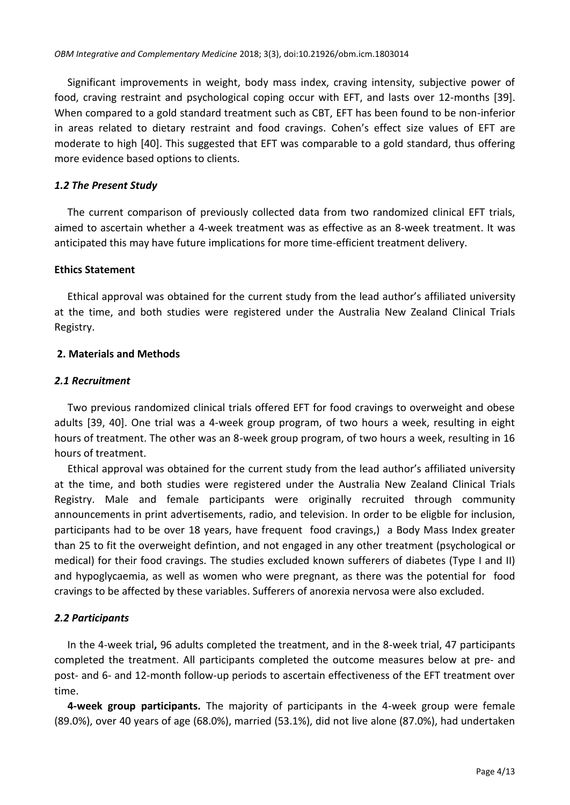Significant improvements in weight, body mass index, craving intensity, subjective power of food, craving restraint and psychological coping occur with EFT, and lasts over 12-months [39]. When compared to a gold standard treatment such as CBT, EFT has been found to be non-inferior in areas related to dietary restraint and food cravings. Cohen's effect size values of EFT are moderate to high [40]. This suggested that EFT was comparable to a gold standard, thus offering more evidence based options to clients.

# *1.2 The Present Study*

The current comparison of previously collected data from two randomized clinical EFT trials, aimed to ascertain whether a 4-week treatment was as effective as an 8-week treatment. It was anticipated this may have future implications for more time-efficient treatment delivery.

#### **Ethics Statement**

Ethical approval was obtained for the current study from the lead author's affiliated university at the time, and both studies were registered under the Australia New Zealand Clinical Trials Registry.

#### **2. Materials and Methods**

#### *2.1 Recruitment*

Two previous randomized clinical trials offered EFT for food cravings to overweight and obese adults [39, 40]. One trial was a 4-week group program, of two hours a week, resulting in eight hours of treatment. The other was an 8-week group program, of two hours a week, resulting in 16 hours of treatment.

Ethical approval was obtained for the current study from the lead author's affiliated university at the time, and both studies were registered under the Australia New Zealand Clinical Trials Registry. Male and female participants were originally recruited through community announcements in print advertisements, radio, and television. In order to be eligble for inclusion, participants had to be over 18 years, have frequent food cravings,) a Body Mass Index greater than 25 to fit the overweight defintion, and not engaged in any other treatment (psychological or medical) for their food cravings. The studies excluded known sufferers of diabetes (Type I and II) and hypoglycaemia, as well as women who were pregnant, as there was the potential for food cravings to be affected by these variables. Sufferers of anorexia nervosa were also excluded.

# *2.2 Participants*

In the 4-week trial**,** 96 adults completed the treatment, and in the 8-week trial, 47 participants completed the treatment. All participants completed the outcome measures below at pre- and post- and 6- and 12-month follow-up periods to ascertain effectiveness of the EFT treatment over time.

**4-week group participants.** The majority of participants in the 4-week group were female (89.0%), over 40 years of age (68.0%), married (53.1%), did not live alone (87.0%), had undertaken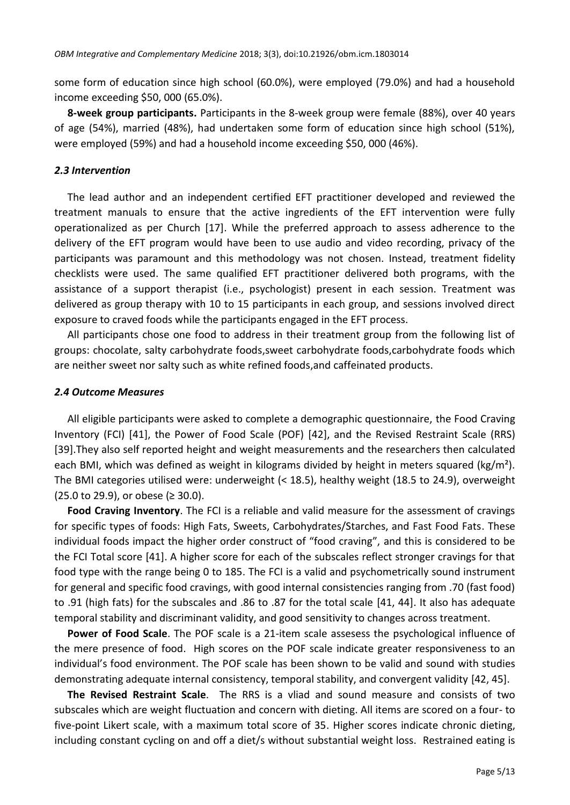some form of education since high school (60.0%), were employed (79.0%) and had a household income exceeding \$50, 000 (65.0%).

**8-week group participants.** Participants in the 8-week group were female (88%), over 40 years of age (54%), married (48%), had undertaken some form of education since high school (51%), were employed (59%) and had a household income exceeding \$50, 000 (46%).

### *2.3 Intervention*

The lead author and an independent certified EFT practitioner developed and reviewed the treatment manuals to ensure that the active ingredients of the EFT intervention were fully operationalized as per Church [17]. While the preferred approach to assess adherence to the delivery of the EFT program would have been to use audio and video recording, privacy of the participants was paramount and this methodology was not chosen. Instead, treatment fidelity checklists were used. The same qualified EFT practitioner delivered both programs, with the assistance of a support therapist (i.e., psychologist) present in each session. Treatment was delivered as group therapy with 10 to 15 participants in each group, and sessions involved direct exposure to craved foods while the participants engaged in the EFT process.

All participants chose one food to address in their treatment group from the following list of groups: chocolate, salty carbohydrate foods,sweet carbohydrate foods,carbohydrate foods which are neither sweet nor salty such as white refined foods,and caffeinated products.

#### *2.4 Outcome Measures*

All eligible participants were asked to complete a demographic questionnaire, the Food Craving Inventory (FCI) [41], the Power of Food Scale (POF) [42], and the Revised Restraint Scale (RRS) [39].They also self reported height and weight measurements and the researchers then calculated each BMI, which was defined as weight in kilograms divided by height in meters squared (kg/m<sup>2</sup>). The BMI categories utilised were: underweight (< 18.5), healthy weight (18.5 to 24.9), overweight (25.0 to 29.9), or obese (≥ 30.0).

**Food Craving Inventory**. The FCI is a reliable and valid measure for the assessment of cravings for specific types of foods: High Fats, Sweets, Carbohydrates/Starches, and Fast Food Fats. These individual foods impact the higher order construct of "food craving", and this is considered to be the FCI Total score [41]. A higher score for each of the subscales reflect stronger cravings for that food type with the range being 0 to 185. The FCI is a valid and psychometrically sound instrument for general and specific food cravings, with good internal consistencies ranging from .70 (fast food) to .91 (high fats) for the subscales and .86 to .87 for the total scale [41, 44]. It also has adequate temporal stability and discriminant validity, and good sensitivity to changes across treatment.

**Power of Food Scale**. The POF scale is a 21-item scale assesess the psychological influence of the mere presence of food. High scores on the POF scale indicate greater responsiveness to an individual's food environment. The POF scale has been shown to be valid and sound with studies demonstrating adequate internal consistency, temporal stability, and convergent validity [42, 45].

**The Revised Restraint Scale**. The RRS is a vliad and sound measure and consists of two subscales which are weight fluctuation and concern with dieting. All items are scored on a four- to five-point Likert scale, with a maximum total score of 35. Higher scores indicate chronic dieting, including constant cycling on and off a diet/s without substantial weight loss. Restrained eating is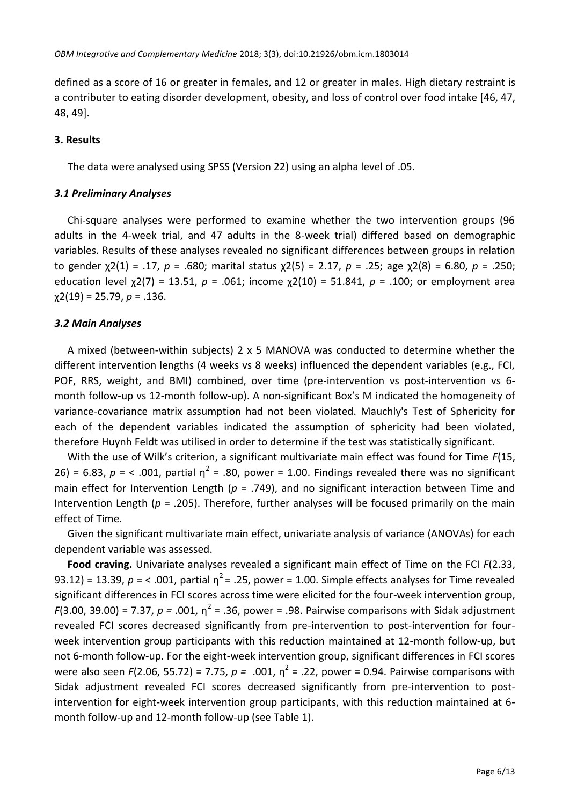defined as a score of 16 or greater in females, and 12 or greater in males. High dietary restraint is a contributer to eating disorder development, obesity, and loss of control over food intake [46, 47, 48, 49].

#### **3. Results**

The data were analysed using SPSS (Version 22) using an alpha level of .05.

#### *3.1 Preliminary Analyses*

Chi-square analyses were performed to examine whether the two intervention groups (96 adults in the 4-week trial, and 47 adults in the 8-week trial) differed based on demographic variables. Results of these analyses revealed no significant differences between groups in relation to gender χ2(1) = .17, *p* = .680; marital status χ2(5) = 2.17, *p* = .25; age χ2(8) = 6.80, *p* = .250; education level χ2(7) = 13.51, *p* = .061; income χ2(10) = 51.841, *p* = .100; or employment area χ2(19) = 25.79, *p* = .136.

#### *3.2 Main Analyses*

A mixed (between-within subjects) 2 x 5 MANOVA was conducted to determine whether the different intervention lengths (4 weeks vs 8 weeks) influenced the dependent variables (e.g., FCI, POF, RRS, weight, and BMI) combined, over time (pre-intervention vs post-intervention vs 6 month follow-up vs 12-month follow-up). A non-significant Box's M indicated the homogeneity of variance-covariance matrix assumption had not been violated. Mauchly's Test of Sphericity for each of the dependent variables indicated the assumption of sphericity had been violated, therefore Huynh Feldt was utilised in order to determine if the test was statistically significant.

With the use of Wilk's criterion, a significant multivariate main effect was found for Time *F*(15, 26) = 6.83,  $p =$  < .001, partial  $\eta^2$  = .80, power = 1.00. Findings revealed there was no significant main effect for Intervention Length (*p* = .749), and no significant interaction between Time and Intervention Length (*p* = .205). Therefore, further analyses will be focused primarily on the main effect of Time.

Given the significant multivariate main effect, univariate analysis of variance (ANOVAs) for each dependent variable was assessed.

**Food craving.** Univariate analyses revealed a significant main effect of Time on the FCI *F*(2.33, 93.12) = 13.39,  $p =$ < .001, partial  $\eta^2$  = .25, power = 1.00. Simple effects analyses for Time revealed significant differences in FCI scores across time were elicited for the four-week intervention group, *F*(3.00, 39.00) = 7.37,  $p = .001$ ,  $\eta^2 = .36$ , power = .98. Pairwise comparisons with Sidak adjustment revealed FCI scores decreased significantly from pre-intervention to post-intervention for fourweek intervention group participants with this reduction maintained at 12-month follow-up, but not 6-month follow-up. For the eight-week intervention group, significant differences in FCI scores were also seen  $F(2.06, 55.72) = 7.75, p = .001, \eta^2 = .22$ , power = 0.94. Pairwise comparisons with Sidak adjustment revealed FCI scores decreased significantly from pre-intervention to postintervention for eight-week intervention group participants, with this reduction maintained at 6 month follow-up and 12-month follow-up (see Table 1).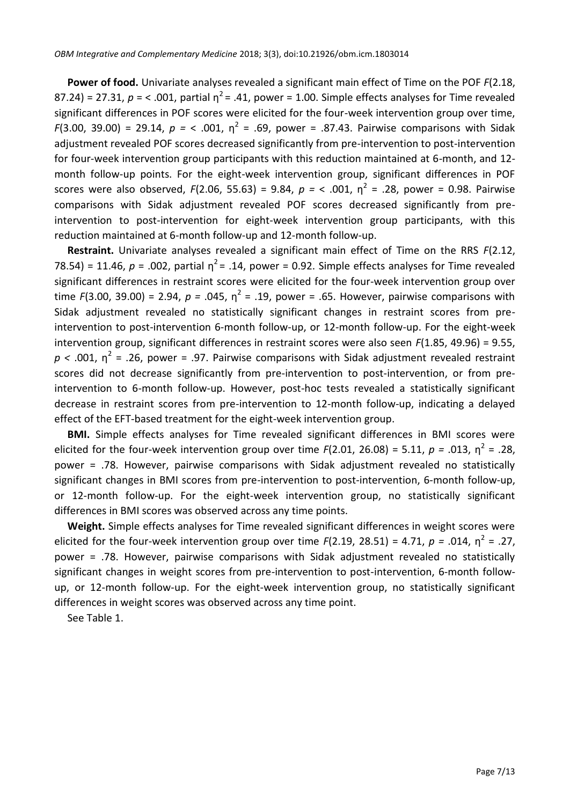**Power of food.** Univariate analyses revealed a significant main effect of Time on the POF *F*(2.18, 87.24) = 27.31,  $p =$  < .001, partial  $\eta^2$  = .41, power = 1.00. Simple effects analyses for Time revealed significant differences in POF scores were elicited for the four-week intervention group over time, *F*(3.00, 39.00) = 29.14,  $p =$  < .001,  $\eta^2 = .69$ , power = .87.43. Pairwise comparisons with Sidak adjustment revealed POF scores decreased significantly from pre-intervention to post-intervention for four-week intervention group participants with this reduction maintained at 6-month, and 12 month follow-up points. For the eight-week intervention group, significant differences in POF scores were also observed,  $F(2.06, 55.63) = 9.84$ ,  $p = 5.001$ ,  $p^2 = .28$ , power = 0.98. Pairwise comparisons with Sidak adjustment revealed POF scores decreased significantly from preintervention to post-intervention for eight-week intervention group participants, with this reduction maintained at 6-month follow-up and 12-month follow-up.

**Restraint.** Univariate analyses revealed a significant main effect of Time on the RRS *F*(2.12, 78.54) = 11.46,  $p = .002$ , partial  $\eta^2 = .14$ , power = 0.92. Simple effects analyses for Time revealed significant differences in restraint scores were elicited for the four-week intervention group over time  $F(3.00, 39.00) = 2.94, p = .045, \eta^2 = .19$ , power = .65. However, pairwise comparisons with Sidak adjustment revealed no statistically significant changes in restraint scores from preintervention to post-intervention 6-month follow-up, or 12-month follow-up. For the eight-week intervention group, significant differences in restraint scores were also seen *F*(1.85, 49.96) = 9.55,  $p$  < .001,  $\eta^2$  = .26, power = .97. Pairwise comparisons with Sidak adjustment revealed restraint scores did not decrease significantly from pre-intervention to post-intervention, or from preintervention to 6-month follow-up. However, post-hoc tests revealed a statistically significant decrease in restraint scores from pre-intervention to 12-month follow-up, indicating a delayed effect of the EFT-based treatment for the eight-week intervention group.

**BMI.** Simple effects analyses for Time revealed significant differences in BMI scores were elicited for the four-week intervention group over time  $F(2.01, 26.08) = 5.11, p = .013, \eta^2 = .28,$ power = .78. However, pairwise comparisons with Sidak adjustment revealed no statistically significant changes in BMI scores from pre-intervention to post-intervention, 6-month follow-up, or 12-month follow-up. For the eight-week intervention group, no statistically significant differences in BMI scores was observed across any time points.

**Weight.** Simple effects analyses for Time revealed significant differences in weight scores were elicited for the four-week intervention group over time  $F(2.19, 28.51) = 4.71, p = .014, \eta^2 = .27,$ power = .78. However, pairwise comparisons with Sidak adjustment revealed no statistically significant changes in weight scores from pre-intervention to post-intervention, 6-month followup, or 12-month follow-up. For the eight-week intervention group, no statistically significant differences in weight scores was observed across any time point.

See Table 1.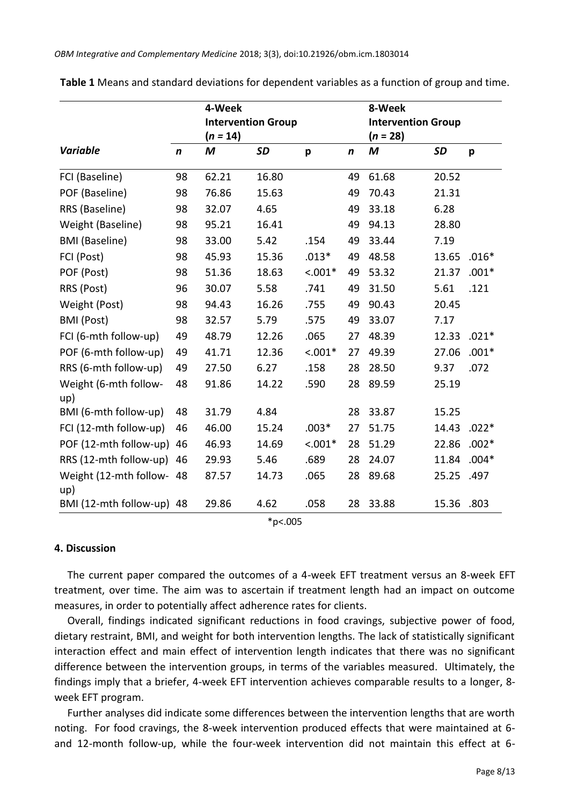|                               |                  | 4-Week     |                           |           |                  | 8-Week                    |           |         |
|-------------------------------|------------------|------------|---------------------------|-----------|------------------|---------------------------|-----------|---------|
|                               |                  |            | <b>Intervention Group</b> |           |                  | <b>Intervention Group</b> |           |         |
|                               |                  | $(n = 14)$ |                           |           |                  | $(n = 28)$                |           |         |
| <b>Variable</b>               | $\boldsymbol{n}$ | M          | <b>SD</b>                 | p         | $\boldsymbol{n}$ | M                         | <b>SD</b> | p       |
| FCI (Baseline)                | 98               | 62.21      | 16.80                     |           | 49               | 61.68                     | 20.52     |         |
| POF (Baseline)                | 98               | 76.86      | 15.63                     |           | 49               | 70.43                     | 21.31     |         |
| RRS (Baseline)                | 98               | 32.07      | 4.65                      |           | 49               | 33.18                     | 6.28      |         |
| Weight (Baseline)             | 98               | 95.21      | 16.41                     |           | 49               | 94.13                     | 28.80     |         |
| <b>BMI</b> (Baseline)         | 98               | 33.00      | 5.42                      | .154      | 49               | 33.44                     | 7.19      |         |
| FCI (Post)                    | 98               | 45.93      | 15.36                     | $.013*$   | 49               | 48.58                     | 13.65     | $.016*$ |
| POF (Post)                    | 98               | 51.36      | 18.63                     | $< .001*$ | 49               | 53.32                     | 21.37     | $.001*$ |
| RRS (Post)                    | 96               | 30.07      | 5.58                      | .741      | 49               | 31.50                     | 5.61      | .121    |
| Weight (Post)                 | 98               | 94.43      | 16.26                     | .755      | 49               | 90.43                     | 20.45     |         |
| <b>BMI</b> (Post)             | 98               | 32.57      | 5.79                      | .575      | 49               | 33.07                     | 7.17      |         |
| FCI (6-mth follow-up)         | 49               | 48.79      | 12.26                     | .065      | 27               | 48.39                     | 12.33     | $.021*$ |
| POF (6-mth follow-up)         | 49               | 41.71      | 12.36                     | $< .001*$ | 27               | 49.39                     | 27.06     | $.001*$ |
| RRS (6-mth follow-up)         | 49               | 27.50      | 6.27                      | .158      | 28               | 28.50                     | 9.37      | .072    |
| Weight (6-mth follow-<br>up)  | 48               | 91.86      | 14.22                     | .590      | 28               | 89.59                     | 25.19     |         |
| BMI (6-mth follow-up)         | 48               | 31.79      | 4.84                      |           | 28               | 33.87                     | 15.25     |         |
| FCI (12-mth follow-up)        | 46               | 46.00      | 15.24                     | $.003*$   | 27               | 51.75                     | 14.43     | $.022*$ |
| POF (12-mth follow-up)        | 46               | 46.93      | 14.69                     | $< .001*$ | 28               | 51.29                     | 22.86     | $.002*$ |
| RRS (12-mth follow-up)        | 46               | 29.93      | 5.46                      | .689      | 28               | 24.07                     | 11.84     | $.004*$ |
| Weight (12-mth follow-<br>up) | 48               | 87.57      | 14.73                     | .065      | 28               | 89.68                     | 25.25     | .497    |
| BMI (12-mth follow-up) 48     |                  | 29.86      | 4.62                      | .058      | 28               | 33.88                     | 15.36     | .803    |

**Table 1** Means and standard deviations for dependent variables as a function of group and time.

\*p<.005

# **4. Discussion**

The current paper compared the outcomes of a 4-week EFT treatment versus an 8-week EFT treatment, over time. The aim was to ascertain if treatment length had an impact on outcome measures, in order to potentially affect adherence rates for clients.

Overall, findings indicated significant reductions in food cravings, subjective power of food, dietary restraint, BMI, and weight for both intervention lengths. The lack of statistically significant interaction effect and main effect of intervention length indicates that there was no significant difference between the intervention groups, in terms of the variables measured. Ultimately, the findings imply that a briefer, 4-week EFT intervention achieves comparable results to a longer, 8 week EFT program.

Further analyses did indicate some differences between the intervention lengths that are worth noting. For food cravings, the 8-week intervention produced effects that were maintained at 6 and 12-month follow-up, while the four-week intervention did not maintain this effect at 6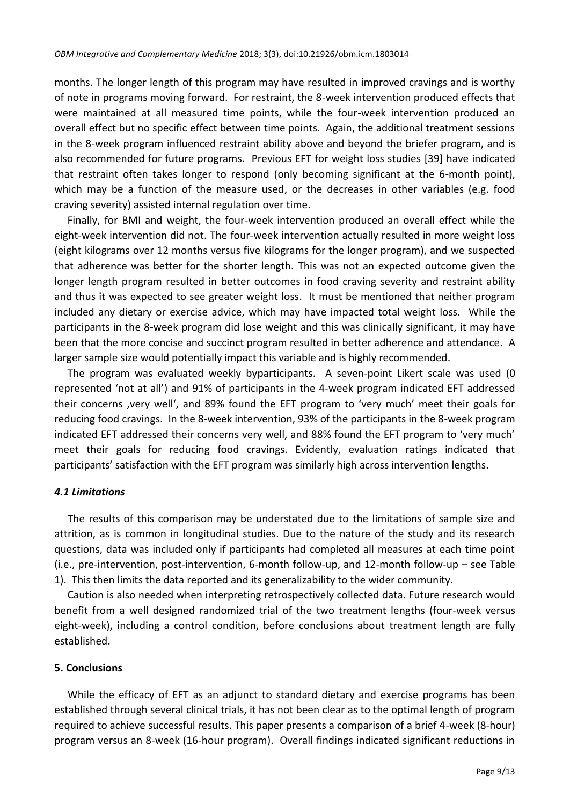months. The longer length of this program may have resulted in improved cravings and is worthy of note in programs moving forward. For restraint, the 8-week intervention produced effects that were maintained at all measured time points, while the four-week intervention produced an overall effect but no specific effect between time points. Again, the additional treatment sessions in the 8-week program influenced restraint ability above and beyond the briefer program, and is also recommended for future programs. Previous EFT for weight loss studies [39] have indicated that restraint often takes longer to respond (only becoming significant at the 6-month point), which may be a function of the measure used, or the decreases in other variables (e.g. food craving severity) assisted internal regulation over time.

Finally, for BMI and weight, the four-week intervention produced an overall effect while the eight-week intervention did not. The four-week intervention actually resulted in more weight loss (eight kilograms over 12 months versus five kilograms for the longer program), and we suspected that adherence was better for the shorter length. This was not an expected outcome given the longer length program resulted in better outcomes in food craving severity and restraint ability and thus it was expected to see greater weight loss. It must be mentioned that neither program included any dietary or exercise advice, which may have impacted total weight loss. While the participants in the 8-week program did lose weight and this was clinically significant, it may have been that the more concise and succinct program resulted in better adherence and attendance. A larger sample size would potentially impact this variable and is highly recommended.

The program was evaluated weekly byparticipants. A seven-point Likert scale was used (0 represented 'not at all') and 91% of participants in the 4-week program indicated EFT addressed their concerns 'very well', and 89% found the EFT program to 'very much' meet their goals for reducing food cravings. In the 8-week intervention, 93% of the participants in the 8-week program indicated EFT addressed their concerns very well, and 88% found the EFT program to 'very much' meet their goals for reducing food cravings. Evidently, evaluation ratings indicated that participants' satisfaction with the EFT program was similarly high across intervention lengths.

# *4.1 Limitations*

The results of this comparison may be understated due to the limitations of sample size and attrition, as is common in longitudinal studies. Due to the nature of the study and its research questions, data was included only if participants had completed all measures at each time point (i.e., pre-intervention, post-intervention, 6-month follow-up, and 12-month follow-up – see Table 1). This then limits the data reported and its generalizability to the wider community.

Caution is also needed when interpreting retrospectively collected data. Future research would benefit from a well designed randomized trial of the two treatment lengths (four-week versus eight-week), including a control condition, before conclusions about treatment length are fully established.

# **5. Conclusions**

While the efficacy of EFT as an adjunct to standard dietary and exercise programs has been established through several clinical trials, it has not been clear as to the optimal length of program required to achieve successful results. This paper presents a comparison of a brief 4-week (8-hour) program versus an 8-week (16-hour program). Overall findings indicated significant reductions in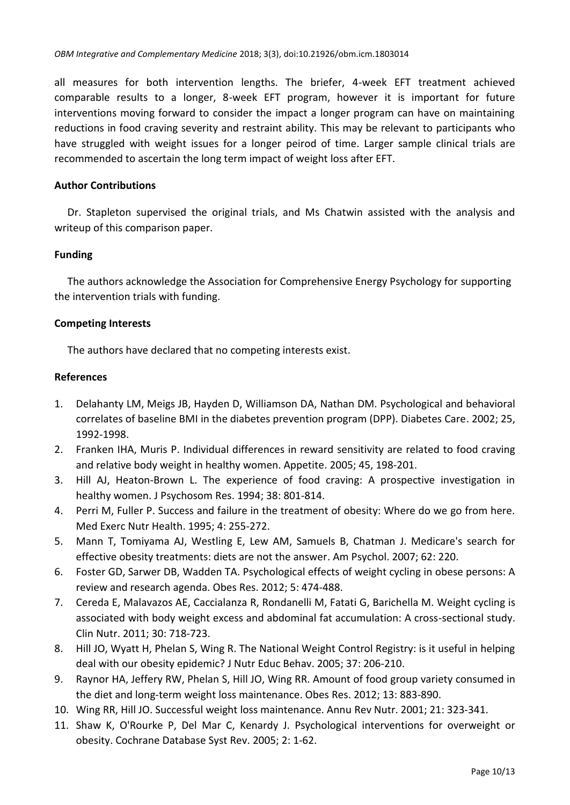all measures for both intervention lengths. The briefer, 4-week EFT treatment achieved comparable results to a longer, 8-week EFT program, however it is important for future interventions moving forward to consider the impact a longer program can have on maintaining reductions in food craving severity and restraint ability. This may be relevant to participants who have struggled with weight issues for a longer peirod of time. Larger sample clinical trials are recommended to ascertain the long term impact of weight loss after EFT.

# **Author Contributions**

Dr. Stapleton supervised the original trials, and Ms Chatwin assisted with the analysis and writeup of this comparison paper.

# **Funding**

The authors acknowledge the Association for Comprehensive Energy Psychology for supporting the intervention trials with funding.

# **Competing Interests**

The authors have declared that no competing interests exist.

# **References**

- 1. Delahanty LM, Meigs JB, Hayden D, Williamson DA, Nathan DM. Psychological and behavioral correlates of baseline BMI in the diabetes prevention program (DPP). Diabetes Care. 2002; 25, 1992-1998.
- 2. Franken IHA, Muris P. Individual differences in reward sensitivity are related to food craving and relative body weight in healthy women. Appetite. 2005; 45, 198-201.
- 3. Hill AJ, Heaton-Brown L. The experience of food craving: A prospective investigation in healthy women. J Psychosom Res. 1994; 38: 801-814.
- 4. Perri M, Fuller P. Success and failure in the treatment of obesity: Where do we go from here. Med Exerc Nutr Health. 1995; 4: 255-272.
- 5. Mann T, Tomiyama AJ, Westling E, Lew AM, Samuels B, Chatman J. Medicare's search for effective obesity treatments: diets are not the answer. Am Psychol. 2007; 62: 220.
- 6. Foster GD, Sarwer DB, Wadden TA. Psychological effects of weight cycling in obese persons: A review and research agenda. Obes Res. 2012; 5: 474-488.
- 7. Cereda E, Malavazos AE, Caccialanza R, Rondanelli M, Fatati G, Barichella M. Weight cycling is associated with body weight excess and abdominal fat accumulation: A cross-sectional study. Clin Nutr. 2011; 30: 718-723.
- 8. Hill JO, Wyatt H, Phelan S, Wing R. The National Weight Control Registry: is it useful in helping deal with our obesity epidemic? J Nutr Educ Behav. 2005; 37: 206-210.
- 9. Raynor HA, Jeffery RW, Phelan S, Hill JO, Wing RR. Amount of food group variety consumed in the diet and long‐term weight loss maintenance. Obes Res. 2012; 13: 883-890.
- 10. Wing RR, Hill JO. Successful weight loss maintenance. Annu Rev Nutr. 2001; 21: 323-341.
- 11. Shaw K, O'Rourke P, Del Mar C, Kenardy J. Psychological interventions for overweight or obesity. Cochrane Database Syst Rev. 2005; 2: 1-62.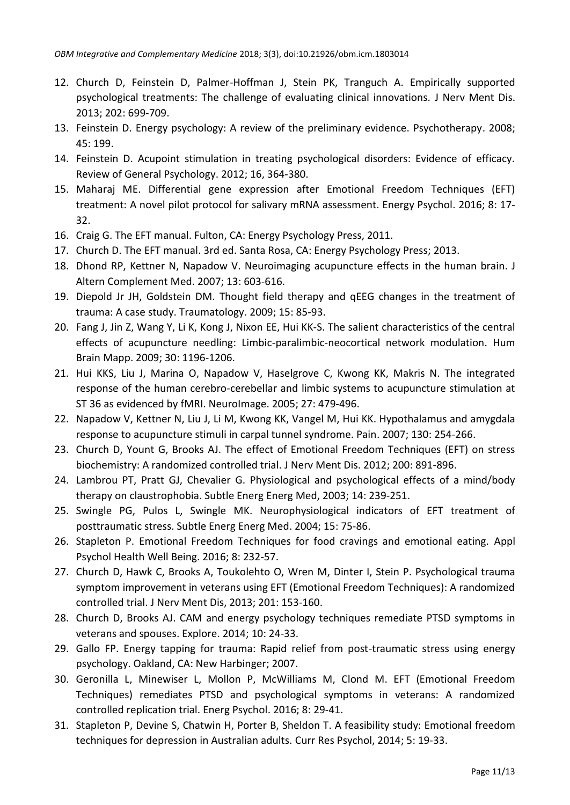- 12. Church D, Feinstein D, Palmer-Hoffman J, Stein PK, Tranguch A. Empirically supported psychological treatments: The challenge of evaluating clinical innovations. J Nerv Ment Dis. 2013; 202: 699-709.
- 13. Feinstein D. Energy psychology: A review of the preliminary evidence. Psychotherapy. 2008; 45: 199.
- 14. Feinstein D. Acupoint stimulation in treating psychological disorders: Evidence of efficacy. Review of General Psychology. 2012; 16, 364-380.
- 15. Maharaj ME. Differential gene expression after Emotional Freedom Techniques (EFT) treatment: A novel pilot protocol for salivary mRNA assessment. Energy Psychol. 2016; 8: 17- 32.
- 16. Craig G. The EFT manual. Fulton, CA: Energy Psychology Press, 2011.
- 17. Church D. The EFT manual. 3rd ed. Santa Rosa, CA: Energy Psychology Press; 2013.
- 18. Dhond RP, Kettner N, Napadow V. Neuroimaging acupuncture effects in the human brain. J Altern Complement Med. 2007; 13: 603-616.
- 19. Diepold Jr JH, Goldstein DM. Thought field therapy and qEEG changes in the treatment of trauma: A case study. Traumatology. 2009; 15: 85-93.
- 20. Fang J, Jin Z, Wang Y, Li K, Kong J, Nixon EE, Hui KK-S. The salient characteristics of the central effects of acupuncture needling: Limbic-paralimbic-neocortical network modulation. Hum Brain Mapp. 2009; 30: 1196-1206.
- 21. Hui KKS, Liu J, Marina O, Napadow V, Haselgrove C, Kwong KK, Makris N. The integrated response of the human cerebro-cerebellar and limbic systems to acupuncture stimulation at ST 36 as evidenced by fMRI. NeuroImage. 2005; 27: 479-496.
- 22. Napadow V, Kettner N, Liu J, Li M, Kwong KK, Vangel M, Hui KK. Hypothalamus and amygdala response to acupuncture stimuli in carpal tunnel syndrome. Pain. 2007; 130: 254-266.
- 23. Church D, Yount G, Brooks AJ. The effect of Emotional Freedom Techniques (EFT) on stress biochemistry: A randomized controlled trial. J Nerv Ment Dis. 2012; 200: 891-896.
- 24. Lambrou PT, Pratt GJ, Chevalier G. Physiological and psychological effects of a mind/body therapy on claustrophobia. Subtle Energ Energ Med, 2003; 14: 239-251.
- 25. Swingle PG, Pulos L, Swingle MK. Neurophysiological indicators of EFT treatment of posttraumatic stress. Subtle Energ Energ Med. 2004; 15: 75-86.
- 26. Stapleton P. Emotional Freedom Techniques for food cravings and emotional eating. Appl Psychol Health Well Being. 2016; 8: 232-57.
- 27. Church D, Hawk C, Brooks A, Toukolehto O, Wren M, Dinter I, Stein P. Psychological trauma symptom improvement in veterans using EFT (Emotional Freedom Techniques): A randomized controlled trial. J Nerv Ment Dis, 2013; 201: 153-160.
- 28. Church D, Brooks AJ. CAM and energy psychology techniques remediate PTSD symptoms in veterans and spouses. Explore. 2014; 10: 24-33.
- 29. Gallo FP. Energy tapping for trauma: Rapid relief from post-traumatic stress using energy psychology. Oakland, CA: New Harbinger; 2007.
- 30. Geronilla L, Minewiser L, Mollon P, McWilliams M, Clond M. EFT (Emotional Freedom Techniques) remediates PTSD and psychological symptoms in veterans: A randomized controlled replication trial. Energ Psychol. 2016; 8: 29-41.
- 31. Stapleton P, Devine S, Chatwin H, Porter B, Sheldon T. A feasibility study: Emotional freedom techniques for depression in Australian adults. Curr Res Psychol, 2014; 5: 19-33.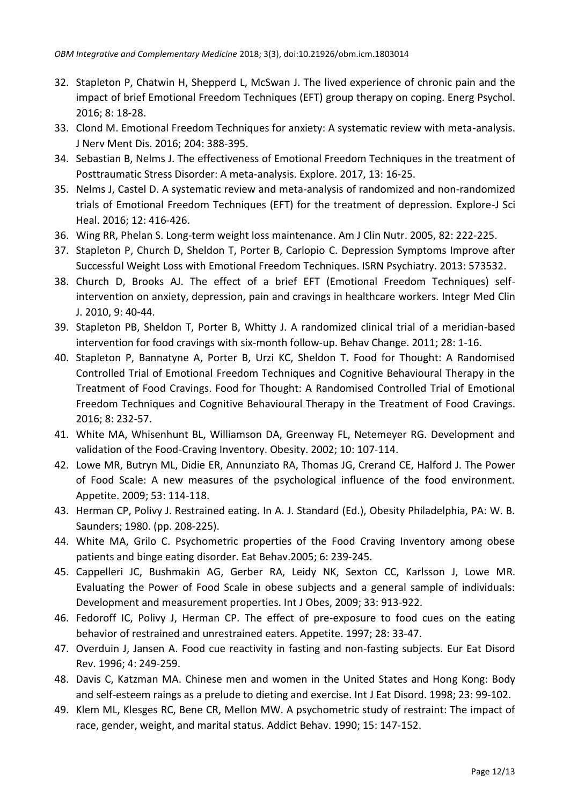- 32. Stapleton P, Chatwin H, Shepperd L, McSwan J. The lived experience of chronic pain and the impact of brief Emotional Freedom Techniques (EFT) group therapy on coping. Energ Psychol. 2016; 8: 18-28.
- 33. Clond M. Emotional Freedom Techniques for anxiety: A systematic review with meta-analysis. J Nerv Ment Dis. 2016; 204: 388-395.
- 34. Sebastian B, Nelms J. The effectiveness of Emotional Freedom Techniques in the treatment of Posttraumatic Stress Disorder: A meta-analysis. Explore. 2017, 13: 16-25.
- 35. Nelms J, Castel D. A systematic review and meta-analysis of randomized and non-randomized trials of Emotional Freedom Techniques (EFT) for the treatment of depression. Explore-J Sci Heal. 2016; 12: 416-426.
- 36. Wing RR, Phelan S. Long-term weight loss maintenance. Am J Clin Nutr. 2005, 82: 222-225.
- 37. Stapleton P, Church D, Sheldon T, Porter B, Carlopio C. Depression Symptoms Improve after Successful Weight Loss with Emotional Freedom Techniques. ISRN Psychiatry. 2013: 573532.
- 38. Church D, Brooks AJ. The effect of a brief EFT (Emotional Freedom Techniques) selfintervention on anxiety, depression, pain and cravings in healthcare workers. Integr Med Clin J. 2010, 9: 40-44.
- 39. Stapleton PB, Sheldon T, Porter B, Whitty J. A randomized clinical trial of a meridian-based intervention for food cravings with six-month follow-up. Behav Change. 2011; 28: 1-16.
- 40. Stapleton P, Bannatyne A, Porter B, Urzi KC, Sheldon T. Food for Thought: A Randomised Controlled Trial of Emotional Freedom Techniques and Cognitive Behavioural Therapy in the Treatment of Food Cravings. Food for Thought: A Randomised Controlled Trial of Emotional Freedom Techniques and Cognitive Behavioural Therapy in the Treatment of Food Cravings. 2016; 8: 232-57.
- 41. White MA, Whisenhunt BL, Williamson DA, Greenway FL, Netemeyer RG. Development and validation of the Food-Craving Inventory. Obesity. 2002; 10: 107-114.
- 42. Lowe MR, Butryn ML, Didie ER, Annunziato RA, Thomas JG, Crerand CE, Halford J. The Power of Food Scale: A new measures of the psychological influence of the food environment. Appetite. 2009; 53: 114-118.
- 43. Herman CP, Polivy J. Restrained eating. In A. J. Standard (Ed.), Obesity Philadelphia, PA: W. B. Saunders; 1980. (pp. 208-225).
- 44. White MA, Grilo C. Psychometric properties of the Food Craving Inventory among obese patients and binge eating disorder. Eat Behav.2005; 6: 239-245.
- 45. Cappelleri JC, Bushmakin AG, Gerber RA, Leidy NK, Sexton CC, Karlsson J, Lowe MR. Evaluating the Power of Food Scale in obese subjects and a general sample of individuals: Development and measurement properties. Int J Obes, 2009; 33: 913-922.
- 46. Fedoroff IC, Polivy J, Herman CP. The effect of pre-exposure to food cues on the eating behavior of restrained and unrestrained eaters. Appetite. 1997; 28: 33-47.
- 47. Overduin J, Jansen A. Food cue reactivity in fasting and non-fasting subjects. Eur Eat Disord Rev. 1996; 4: 249-259.
- 48. Davis C, Katzman MA. Chinese men and women in the United States and Hong Kong: Body and self-esteem raings as a prelude to dieting and exercise. Int J Eat Disord. 1998; 23: 99-102.
- 49. Klem ML, Klesges RC, Bene CR, Mellon MW. A psychometric study of restraint: The impact of race, gender, weight, and marital status. Addict Behav. 1990; 15: 147-152.